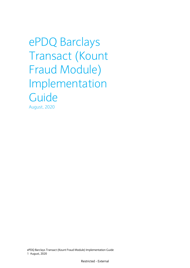ePDQ Barclays Transact (Kount Fraud Module) Implementation Guide August, 2020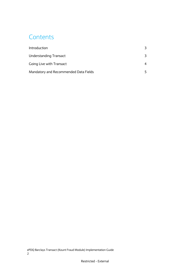## **Contents**

| Introduction                          | 3 |
|---------------------------------------|---|
| <b>Understanding Transact</b>         | 3 |
| Going Live with Transact              | 4 |
| Mandatory and Recommended Data Fields | 5 |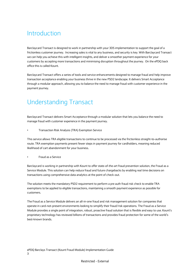### <span id="page-2-0"></span>Introduction

Barclaycard Transact is designed to work in partnership with your 3DS implementation to support the goal of a frictionless customer journey. Increasing sales is vital to any business, and security is key. With Barclaycard Transact we can help you achieve this with intelligent insights, and deliver a smoother payment experience for your customers by accepting more transactions and minimising disruption throughout the journey. On the ePDQ back office this is called Kount.

Barclaycard Transact offers a series of tools and service enhancements designed to manage fraud and help improve transaction acceptance enabling your business thrive in the new PSD2 landscape. It delivers Smart Acceptance through a modular approach, allowing you to balance the need to manage fraud with customer experience in the payment journey.

### <span id="page-2-1"></span>Understanding Transact

Barclaycard Transact delivers Smart Acceptance through a modular solution that lets you balance the need to manage fraud with customer experience in the payment journey.

• Transaction Risk Analysis (TRA) Exemption Service

This service allows TRA eligible transactions to continue to be processed via the frictionless straight-to-authorise route. TRA exemption payments present fewer steps in payment journey for cardholders, meaning reduced likelihood of cart abandonment for your business.

### • Fraud as a Service

Barclaycard is working in partnership with Kount to offer state-of-the-art fraud prevention solution, the Fraud as a Service Module. This solution can help reduce fraud and future chargebacks by enabling real time decisions on transactions using comprehensive data analytics at the point of check-out.

The solution meets the mandatory PSD2 requirement to perform a pre auth fraud risk check to enable TRA exemptions to be applied to eligible transactions, maintaining a smooth payment experience as possible for customers.

The Fraud as a Service Module delivers an all-in-one fraud and risk management solution for companies that operate in card-not-present environments looking to simplify their fraud/risk operations. The Fraud as a Service Module provides a single point of integration, robust, proactive fraud solution that is flexible and easy to use. Kount's proprietary technology has reviewed billions of transactions and provides fraud protection for some of the world's best-known brands.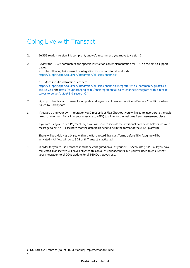### <span id="page-3-0"></span>Going Live with Transact

- 1. Be 3DS ready version 1 is compliant, but we'd recommend you move to version 2.
- 2. Review the 3DSv2 parameters and specific instructions on implementation for 3DS on the ePDQ support pages.

a. The following link shows the integration instructions for all methods: <https://support.epdq.co.uk/en/integration/all-sales-channels/>

#### b. More specific instructions are here:

[https://support.epdq.co.uk/en/integration/all-sales-channels/integrate-with-e-commerce/guide#3-d](https://clicktime.symantec.com/3Mag1hKVbUPAVuJ3EnUcRwR6H2?u=https%3A%2F%2Fsupport.epdq.co.uk%2Fen%2Fintegration%2Fall-sales-channels%2Fintegrate-with-e-commerce%2Fguide%233-d-secure-v2.1)[secure-v2.1](https://clicktime.symantec.com/3Mag1hKVbUPAVuJ3EnUcRwR6H2?u=https%3A%2F%2Fsupport.epdq.co.uk%2Fen%2Fintegration%2Fall-sales-channels%2Fintegrate-with-e-commerce%2Fguide%233-d-secure-v2.1) and [https://support.epdq.co.uk/en/integration/all-sales-channels/integrate-with-directlink](https://clicktime.symantec.com/38AS6HxKG82oNrzjaTiUycT6H2?u=https%3A%2F%2Fsupport.epdq.co.uk%2Fen%2Fintegration%2Fall-sales-channels%2Fintegrate-with-directlink-server-to-server%2Fguide%233-d-secure-v2.1)[server-to-server/guide#3-d-secure-v2.1](https://clicktime.symantec.com/38AS6HxKG82oNrzjaTiUycT6H2?u=https%3A%2F%2Fsupport.epdq.co.uk%2Fen%2Fintegration%2Fall-sales-channels%2Fintegrate-with-directlink-server-to-server%2Fguide%233-d-secure-v2.1)

- 2. Sign up to Barclaycard Transact: Complete and sign Order Form and Additional Service Conditions when issued by Barclaycard.
- 3. If you are using your own integration via Direct Link or Flex Checkout you will need to incorporate the table below of minimum fields into your message to ePDQ to allow for the real time fraud assessment piece

If you are using a Hosted Payment Page you will need to include the additional data fields below into your message to ePDQ. Please note that the data fields need to be in the format of the ePDQ platform.

There will be a delay as advised within the Barclaycard Transact Terms before TRA flagging will be activated – All flow will go to 3DS until Transact is activated

4. In order for you to use Transact, it must be configured on all of your ePDQ Accounts (PSPIDs). If you have requested Transact we will have activated this on all of your accounts, but you will need to ensure that your integration to ePDQ is update for all PSPIDs that you use.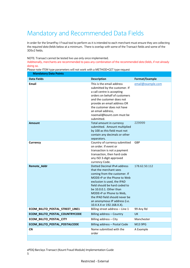# <span id="page-4-0"></span>Mandatory and Recommended Data Fields

In order for the SmartPay I Fraud tool to perform as it is intended to each merchant must ensure they are collecting the *required data fields* below at a minimum. There is overlap with some of the Transact fields and some of the 3DSv2 fields.

NOTE: Transact cannot be tested live use only once implemented.

Additionally, merchants are recommended to pass any combination of the *recommended data fields*, if not already doing so.

|  | Please note ITEM type parameters will not work with a METHOD=GET type request |  |
|--|-------------------------------------------------------------------------------|--|
|  |                                                                               |  |
|  |                                                                               |  |

| <b>Mandatory Data Points</b>    |                                                                                                                                                                                                                                                                                                                                           |                   |
|---------------------------------|-------------------------------------------------------------------------------------------------------------------------------------------------------------------------------------------------------------------------------------------------------------------------------------------------------------------------------------------|-------------------|
| <b>Data Fields</b>              | <b>Description</b>                                                                                                                                                                                                                                                                                                                        | Format/Example    |
| <b>Fmail</b>                    | This is the email address<br>submitted by the customer. If<br>a call centre is accepting<br>orders on behalf of customers<br>and the customer does not<br>provide an email address OR<br>the customer does not have<br>an email address.<br>noemail@kount.com must be<br>submitted.                                                       | email@example.com |
| <b>Amount</b>                   | Total amount in currency<br>submitted. Amount multiplied<br>by 100 as this field must not<br>contain any decimals or other<br>separators.                                                                                                                                                                                                 | 229999            |
| <b>Currency</b>                 | Country of currency submitted<br>on order. If event or<br>transaction is not a payment<br>transaction, then hard code<br>any ISO 3-digit approved<br>currency Code.                                                                                                                                                                       | GBP               |
| Remote_Addr                     | Dotted Decimal IPv4 address<br>that the merchant sees<br>coming from the customer. If<br>MODE=P or the Phone to Web<br>exclusion is used, the IPAD<br>field should be hard coded to<br>be 10.0.0.1. Other than<br>MODE=P or Phone to Web.<br>the IPAD field should never be<br>an anonymous IP address (i.e.<br>10.X.X.X or 192.168.X.X). | 178.62.50.112     |
| ECOM_BILLTO_POSTAL_STREET_LINE1 | Billing street address - Line 1                                                                                                                                                                                                                                                                                                           | 99 Any Rd         |
| ECOM_BILLTO_POSTAL_COUNTRYCODE  | Billing address - Country                                                                                                                                                                                                                                                                                                                 | <b>UK</b>         |
| ECOM_BILLTO_POSTAL_CITY         | Billing address - City                                                                                                                                                                                                                                                                                                                    | Manchester        |
| ECOM_BILLTO_POSTAL_POSTALCODE   | Billing address - Postal Code                                                                                                                                                                                                                                                                                                             | M13 9PG           |
| <b>CN</b>                       | Name submitted with the<br>order                                                                                                                                                                                                                                                                                                          | A Example         |

ePDQ Barclays Transact (Kount Fraud Module) Implementation Guide